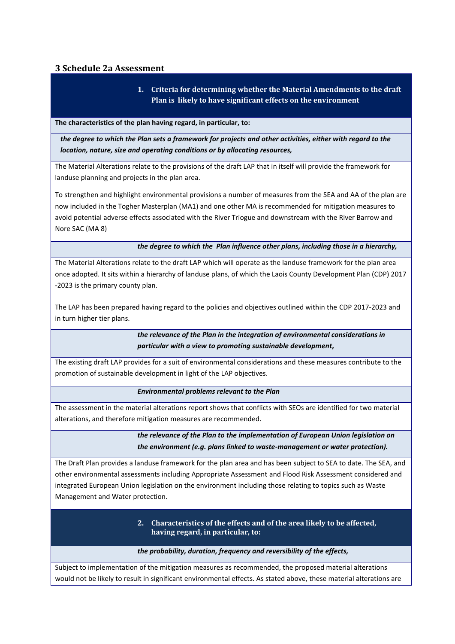# **3 Schedule 2a Assessment**

**1. Criteria for determining whether the Material Amendments to the draft Plan is likely to have significant effects on the environment**

**The characteristics of the plan having regard, in particular, to:**

*the degree to which the Plan sets a framework for projects and other activities, either with regard to the location, nature, size and operating conditions or by allocating resources,*

The Material Alterations relate to the provisions of the draft LAP that in itself will provide the framework for landuse planning and projects in the plan area.

To strengthen and highlight environmental provisions a number of measures from the SEA and AA of the plan are now included in the Togher Masterplan (MA1) and one other MA is recommended for mitigation measures to avoid potential adverse effects associated with the River Triogue and downstream with the River Barrow and Nore SAC (MA 8)

## *the degree to which the Plan influence other plans, including those in a hierarchy,*

The Material Alterations relate to the draft LAP which will operate as the landuse framework for the plan area once adopted. It sits within a hierarchy of landuse plans, of which the Laois County Development Plan (CDP) 2017 -2023 is the primary county plan.

The LAP has been prepared having regard to the policies and objectives outlined within the CDP 2017-2023 and in turn higher tier plans.

> *the relevance of the Plan in the integration of environmental considerations in particular with a view to promoting sustainable development***,**

The existing draft LAP provides for a suit of environmental considerations and these measures contribute to the promotion of sustainable development in light of the LAP objectives.

#### *Environmental problems relevant to the Plan*

The assessment in the material alterations report shows that conflicts with SEOs are identified for two material alterations, and therefore mitigation measures are recommended.

> *the relevance of the Plan to the implementation of European Union legislation on the environment (e.g. plans linked to waste-management or water protection).*

The Draft Plan provides a landuse framework for the plan area and has been subject to SEA to date. The SEA, and other environmental assessments including Appropriate Assessment and Flood Risk Assessment considered and integrated European Union legislation on the environment including those relating to topics such as Waste Management and Water protection.

> **2. Characteristics of the effects and of the area likely to be affected, having regard, in particular, to:**

#### *the probability, duration, frequency and reversibility of the effects,*

Subject to implementation of the mitigation measures as recommended, the proposed material alterations would not be likely to result in significant environmental effects. As stated above, these material alterations are